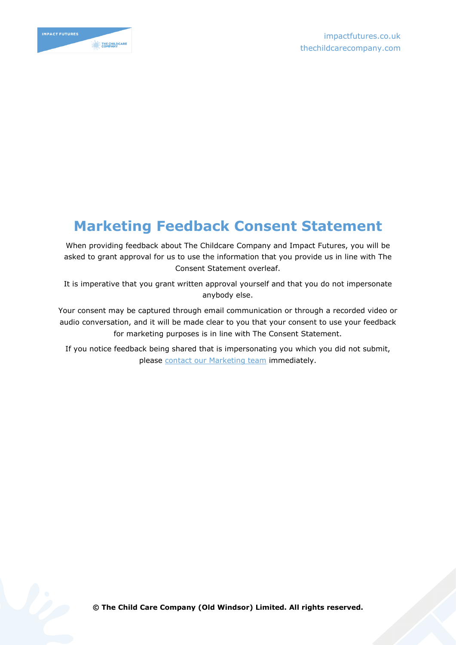

## **Marketing Feedback Consent Statement**

When providing feedback about The Childcare Company and Impact Futures, you will be asked to grant approval for us to use the information that you provide us in line with The Consent Statement overleaf.

It is imperative that you grant written approval yourself and that you do not impersonate anybody else.

Your consent may be captured through email communication or through a recorded video or audio conversation, and it will be made clear to you that your consent to use your feedback for marketing purposes is in line with The Consent Statement.

If you notice feedback being shared that is impersonating you which you did not submit, please [contact our Marketing team](mailto:marketing@impactfutures.co.uk) immediately.